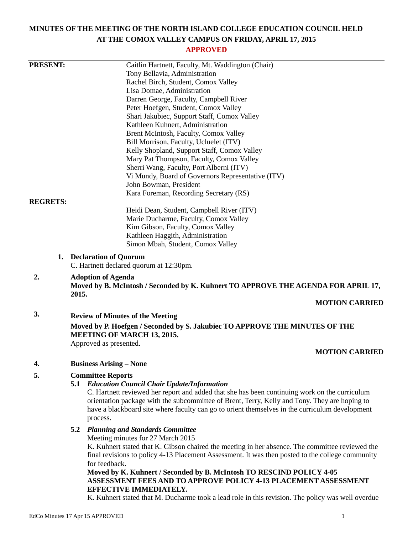# **MINUTES OF THE MEETING OF THE NORTH ISLAND COLLEGE EDUCATION COUNCIL HELD AT THE COMOX VALLEY CAMPUS ON FRIDAY, APRIL 17, 2015**

# **APPROVED**

| <b>PRESENT:</b> | Caitlin Hartnett, Faculty, Mt. Waddington (Chair)                                                                                                                                                                                                                                                            |
|-----------------|--------------------------------------------------------------------------------------------------------------------------------------------------------------------------------------------------------------------------------------------------------------------------------------------------------------|
|                 | Tony Bellavia, Administration                                                                                                                                                                                                                                                                                |
|                 | Rachel Birch, Student, Comox Valley                                                                                                                                                                                                                                                                          |
|                 | Lisa Domae, Administration                                                                                                                                                                                                                                                                                   |
|                 | Darren George, Faculty, Campbell River                                                                                                                                                                                                                                                                       |
|                 | Peter Hoefgen, Student, Comox Valley                                                                                                                                                                                                                                                                         |
|                 | Shari Jakubiec, Support Staff, Comox Valley                                                                                                                                                                                                                                                                  |
|                 | Kathleen Kuhnert, Administration                                                                                                                                                                                                                                                                             |
|                 | Brent McIntosh, Faculty, Comox Valley                                                                                                                                                                                                                                                                        |
|                 | Bill Morrison, Faculty, Ucluelet (ITV)                                                                                                                                                                                                                                                                       |
|                 | Kelly Shopland, Support Staff, Comox Valley                                                                                                                                                                                                                                                                  |
|                 | Mary Pat Thompson, Faculty, Comox Valley<br>Sherri Wang, Faculty, Port Alberni (ITV)                                                                                                                                                                                                                         |
|                 | Vi Mundy, Board of Governors Representative (ITV)                                                                                                                                                                                                                                                            |
|                 | John Bowman, President                                                                                                                                                                                                                                                                                       |
|                 | Kara Foreman, Recording Secretary (RS)                                                                                                                                                                                                                                                                       |
| <b>REGRETS:</b> |                                                                                                                                                                                                                                                                                                              |
|                 | Heidi Dean, Student, Campbell River (ITV)                                                                                                                                                                                                                                                                    |
|                 | Marie Ducharme, Faculty, Comox Valley                                                                                                                                                                                                                                                                        |
|                 | Kim Gibson, Faculty, Comox Valley                                                                                                                                                                                                                                                                            |
|                 | Kathleen Haggith, Administration                                                                                                                                                                                                                                                                             |
|                 | Simon Mbah, Student, Comox Valley                                                                                                                                                                                                                                                                            |
|                 | 1. Declaration of Quorum<br>C. Hartnett declared quorum at 12:30pm.                                                                                                                                                                                                                                          |
| 2.              | <b>Adoption of Agenda</b><br>Moved by B. McIntosh / Seconded by K. Kuhnert TO APPROVE THE AGENDA FOR APRIL 17,<br>2015.                                                                                                                                                                                      |
|                 | <b>MOTION CARRIED</b>                                                                                                                                                                                                                                                                                        |
| 3.              | <b>Review of Minutes of the Meeting</b>                                                                                                                                                                                                                                                                      |
|                 | Moved by P. Hoefgen / Seconded by S. Jakubiec TO APPROVE THE MINUTES OF THE<br><b>MEETING OF MARCH 13, 2015.</b>                                                                                                                                                                                             |
|                 | Approved as presented.                                                                                                                                                                                                                                                                                       |
|                 | <b>MOTION CARRIED</b>                                                                                                                                                                                                                                                                                        |
| 4.              | <b>Business Arising – None</b>                                                                                                                                                                                                                                                                               |
| 5.              | <b>Committee Reports</b>                                                                                                                                                                                                                                                                                     |
|                 | 5.1 Education Council Chair Update/Information                                                                                                                                                                                                                                                               |
|                 | C. Hartnett reviewed her report and added that she has been continuing work on the curriculum<br>orientation package with the subcommittee of Brent, Terry, Kelly and Tony. They are hoping to<br>have a blackboard site where faculty can go to orient themselves in the curriculum development<br>process. |
|                 | <b>Planning and Standards Committee</b><br>5.2                                                                                                                                                                                                                                                               |
|                 | Meeting minutes for 27 March 2015                                                                                                                                                                                                                                                                            |
|                 | K. Kuhnert stated that K. Gibson chaired the meeting in her absence. The committee reviewed the                                                                                                                                                                                                              |
|                 | final revisions to policy 4-13 Placement Assessment. It was then posted to the college community                                                                                                                                                                                                             |
|                 | for feedback.                                                                                                                                                                                                                                                                                                |
|                 | Moved by K. Kuhnert / Seconded by B. McIntosh TO RESCIND POLICY 4-05                                                                                                                                                                                                                                         |
|                 | ASSESSMENT FEES AND TO APPROVE POLICY 4-13 PLACEMENT ASSESSMENT<br>EFFECTIVE IMMEDIATELY.                                                                                                                                                                                                                    |

K. Kuhnert stated that M. Ducharme took a lead role in this revision. The policy was well overdue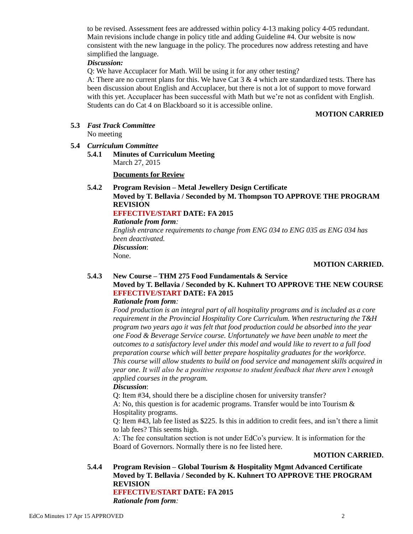to be revised. Assessment fees are addressed within policy 4-13 making policy 4-05 redundant. Main revisions include change in policy title and adding Guideline #4. Our website is now consistent with the new language in the policy. The procedures now address retesting and have simplified the language.

### *Discussion:*

Q: We have Accuplacer for Math. Will be using it for any other testing?

A: There are no current plans for this. We have Cat  $3 \& 4$  which are standardized tests. There has been discussion about English and Accuplacer, but there is not a lot of support to move forward with this yet. Accuplacer has been successful with Math but we're not as confident with English. Students can do Cat 4 on Blackboard so it is accessible online.

### **MOTION CARRIED**

**5.3** *Fast Track Committee*

No meeting

### **5.4** *Curriculum Committee*

**5.4.1 Minutes of Curriculum Meeting** March 27, 2015

**Documents for Review**

# **5.4.2 Program Revision – Metal Jewellery Design Certificate Moved by T. Bellavia / Seconded by M. Thompson TO APPROVE THE PROGRAM REVISION**

# **EFFECTIVE/START DATE: FA 2015**

*Rationale from form:*

*English entrance requirements to change from ENG 034 to ENG 035 as ENG 034 has been deactivated. Discussion*: None.

### **MOTION CARRIED.**

### **5.4.3 New Course – THM 275 Food Fundamentals & Service Moved by T. Bellavia / Seconded by K. Kuhnert TO APPROVE THE NEW COURSE EFFECTIVE/START DATE: FA 2015**

### *Rationale from form:*

*Food production is an integral part of all hospitality programs and is included as a core requirement in the Provincial Hospitality Core Curriculum. When restructuring the T&H program two years ago it was felt that food production could be absorbed into the year one Food & Beverage Service course. Unfortunately we have been unable to meet the outcomes to a satisfactory level under this model and would like to revert to a full food preparation course which will better prepare hospitality graduates for the workforce. This course will allow students to build on food service and management skills acquired in year one. It will also be a positive response to student feedback that there aren't enough applied courses in the program.*

### *Discussion*:

Q: Item #34, should there be a discipline chosen for university transfer? A: No, this question is for academic programs. Transfer would be into Tourism & Hospitality programs.

Q: Item #43, lab fee listed as \$225. Is this in addition to credit fees, and isn't there a limit to lab fees? This seems high.

A: The fee consultation section is not under EdCo's purview. It is information for the Board of Governors. Normally there is no fee listed here.

### **MOTION CARRIED.**

**5.4.4 Program Revision – Global Tourism & Hospitality Mgmt Advanced Certificate Moved by T. Bellavia / Seconded by K. Kuhnert TO APPROVE THE PROGRAM REVISION EFFECTIVE/START DATE: FA 2015**

*Rationale from form:*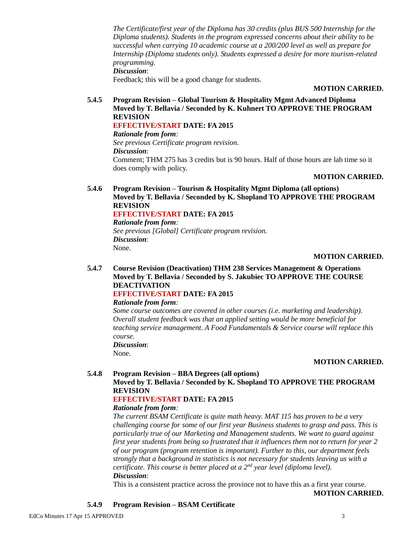*The Certificate/first year of the Diploma has 30 credits (plus BUS 500 Internship for the Diploma students). Students in the program expressed concerns about their ability to be successful when carrying 10 academic course at a 200/200 level as well as prepare for Internship (Diploma students only). Students expressed a desire for more tourism-related programming. Discussion*:

Feedback; this will be a good change for students.

#### **MOTION CARRIED.**

**5.4.5 Program Revision – Global Tourism & Hospitality Mgmt Advanced Diploma Moved by T. Bellavia / Seconded by K. Kuhnert TO APPROVE THE PROGRAM REVISION**

**EFFECTIVE/START DATE: FA 2015**

*Rationale from form:*

*See previous Certificate program revision. Discussion*: Comment; THM 275 has 3 credits but is 90 hours. Half of those hours are lab time so it does comply with policy.

### **MOTION CARRIED.**

**5.4.6 Program Revision – Tourism & Hospitality Mgmt Diploma (all options) Moved by T. Bellavia / Seconded by K. Shopland TO APPROVE THE PROGRAM REVISION**

**EFFECTIVE/START DATE: FA 2015**

*Rationale from form:*

*See previous [Global] Certificate program revision. Discussion*: None.

### **MOTION CARRIED.**

**5.4.7 Course Revision (Deactivation) THM 238 Services Management & Operations Moved by T. Bellavia / Seconded by S. Jakubiec TO APPROVE THE COURSE DEACTIVATION**

# **EFFECTIVE/START DATE: FA 2015**

### *Rationale from form:*

*Some course outcomes are covered in other courses (i.e. marketing and leadership). Overall student feedback was that an applied setting would be more beneficial for teaching service management. A Food Fundamentals & Service course will replace this course.*

*Discussion*: None.

### **MOTION CARRIED.**

**5.4.8 Program Revision – BBA Degrees (all options) Moved by T. Bellavia / Seconded by K. Shopland TO APPROVE THE PROGRAM REVISION**

### **EFFECTIVE/START DATE: FA 2015**

### *Rationale from form:*

*The current BSAM Certificate is quite math heavy. MAT 115 has proven to be a very challenging course for some of our first year Business students to grasp and pass. This is particularly true of our Marketing and Management students. We want to guard against first year students from being so frustrated that it influences them not to return for year 2 of our program (program retention is important). Further to this, our department feels strongly that a background in statistics is not necessary for students leaving us with a certificate. This course is better placed at a 2nd year level (diploma level). Discussion*:

This is a consistent practice across the province not to have this as a first year course.

**MOTION CARRIED.**

**5.4.9 Program Revision – BSAM Certificate**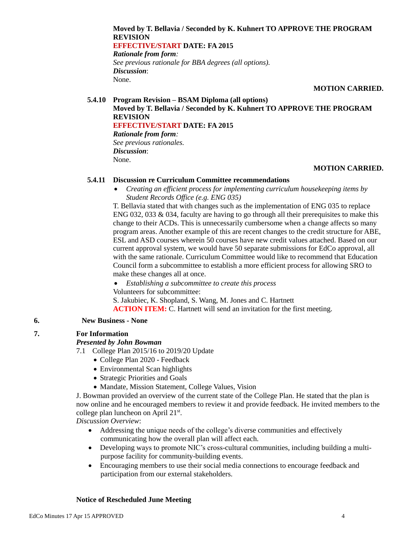# **Moved by T. Bellavia / Seconded by K. Kuhnert TO APPROVE THE PROGRAM REVISION EFFECTIVE/START DATE: FA 2015** *Rationale from form:*

*See previous rationale for BBA degrees (all options). Discussion*: None.

### **MOTION CARRIED.**

### **5.4.10 Program Revision – BSAM Diploma (all options) Moved by T. Bellavia / Seconded by K. Kuhnert TO APPROVE THE PROGRAM REVISION EFFECTIVE/START DATE: FA 2015** *Rationale from form: See previous rationales. Discussion*:

# **MOTION CARRIED.**

# **5.4.11 Discussion re Curriculum Committee recommendations**

 *Creating an efficient process for implementing curriculum housekeeping items by Student Records Office (e.g. ENG 035)*

T. Bellavia stated that with changes such as the implementation of ENG 035 to replace ENG 032, 033 & 034, faculty are having to go through all their prerequisites to make this change to their ACDs. This is unnecessarily cumbersome when a change affects so many program areas. Another example of this are recent changes to the credit structure for ABE, ESL and ASD courses wherein 50 courses have new credit values attached. Based on our current approval system, we would have 50 separate submissions for EdCo approval, all with the same rationale. Curriculum Committee would like to recommend that Education Council form a subcommittee to establish a more efficient process for allowing SRO to make these changes all at once.

 *Establishing a subcommittee to create this process* Volunteers for subcommittee: S. Jakubiec, K. Shopland, S. Wang, M. Jones and C. Hartnett **ACTION ITEM:** C. Hartnett will send an invitation for the first meeting.

### **6. New Business - None**

# **7. For Information**

### *Presented by John Bowman*

None.

- 7.1 College Plan 2015/16 to 2019/20 Update
	- College Plan 2020 Feedback
	- Environmental Scan highlights
	- Strategic Priorities and Goals
	- Mandate, Mission Statement, College Values, Vision

J. Bowman provided an overview of the current state of the College Plan. He stated that the plan is now online and he encouraged members to review it and provide feedback. He invited members to the college plan luncheon on April 21<sup>st</sup>.

*Discussion Overview*:

- Addressing the unique needs of the college's diverse communities and effectively communicating how the overall plan will affect each.
- Developing ways to promote NIC's cross-cultural communities, including building a multipurpose facility for community-building events.
- Encouraging members to use their social media connections to encourage feedback and participation from our external stakeholders.

### **Notice of Rescheduled June Meeting**